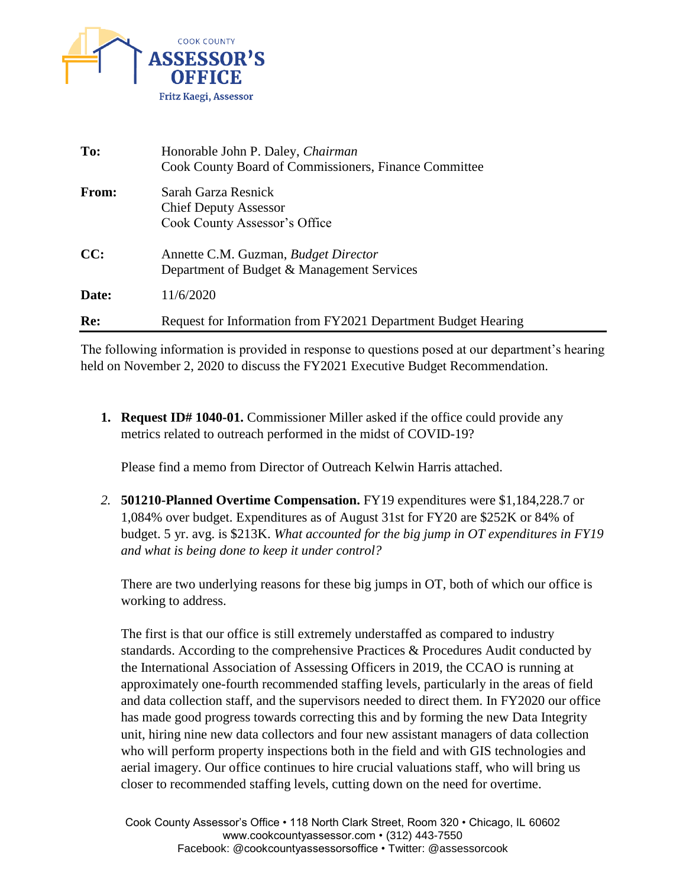

| To:   | Honorable John P. Daley, Chairman<br>Cook County Board of Commissioners, Finance Committee |
|-------|--------------------------------------------------------------------------------------------|
| From: | Sarah Garza Resnick<br><b>Chief Deputy Assessor</b><br>Cook County Assessor's Office       |
| CC:   | Annette C.M. Guzman, Budget Director<br>Department of Budget & Management Services         |
| Date: | 11/6/2020                                                                                  |
| Re:   | Request for Information from FY2021 Department Budget Hearing                              |

The following information is provided in response to questions posed at our department's hearing held on November 2, 2020 to discuss the FY2021 Executive Budget Recommendation.

**1. Request ID# 1040-01.** Commissioner Miller asked if the office could provide any metrics related to outreach performed in the midst of COVID-19?

Please find a memo from Director of Outreach Kelwin Harris attached.

*2.* **501210-Planned Overtime Compensation.** FY19 expenditures were \$1,184,228.7 or 1,084% over budget. Expenditures as of August 31st for FY20 are \$252K or 84% of budget. 5 yr. avg. is \$213K. *What accounted for the big jump in OT expenditures in FY19 and what is being done to keep it under control?* 

There are two underlying reasons for these big jumps in OT, both of which our office is working to address.

The first is that our office is still extremely understaffed as compared to industry standards. According to the comprehensive Practices & Procedures Audit conducted by the International Association of Assessing Officers in 2019, the CCAO is running at approximately one-fourth recommended staffing levels, particularly in the areas of field and data collection staff, and the supervisors needed to direct them. In FY2020 our office has made good progress towards correcting this and by forming the new Data Integrity unit, hiring nine new data collectors and four new assistant managers of data collection who will perform property inspections both in the field and with GIS technologies and aerial imagery. Our office continues to hire crucial valuations staff, who will bring us closer to recommended staffing levels, cutting down on the need for overtime.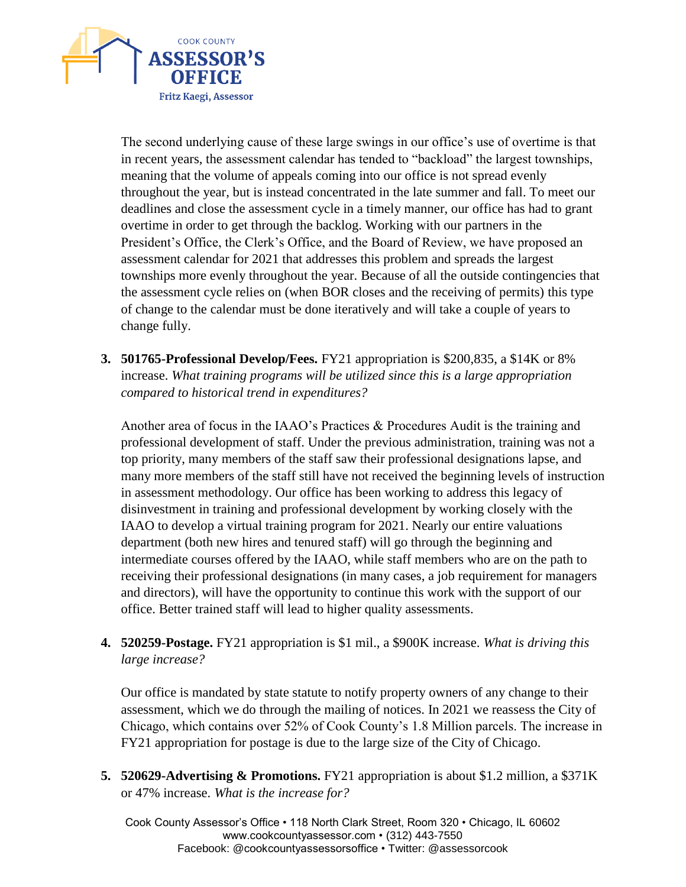

The second underlying cause of these large swings in our office's use of overtime is that in recent years, the assessment calendar has tended to "backload" the largest townships, meaning that the volume of appeals coming into our office is not spread evenly throughout the year, but is instead concentrated in the late summer and fall. To meet our deadlines and close the assessment cycle in a timely manner, our office has had to grant overtime in order to get through the backlog. Working with our partners in the President's Office, the Clerk's Office, and the Board of Review, we have proposed an assessment calendar for 2021 that addresses this problem and spreads the largest townships more evenly throughout the year. Because of all the outside contingencies that the assessment cycle relies on (when BOR closes and the receiving of permits) this type of change to the calendar must be done iteratively and will take a couple of years to change fully.

**3. 501765-Professional Develop/Fees.** FY21 appropriation is \$200,835, a \$14K or 8% increase. *What training programs will be utilized since this is a large appropriation compared to historical trend in expenditures?* 

Another area of focus in the IAAO's Practices & Procedures Audit is the training and professional development of staff. Under the previous administration, training was not a top priority, many members of the staff saw their professional designations lapse, and many more members of the staff still have not received the beginning levels of instruction in assessment methodology. Our office has been working to address this legacy of disinvestment in training and professional development by working closely with the IAAO to develop a virtual training program for 2021. Nearly our entire valuations department (both new hires and tenured staff) will go through the beginning and intermediate courses offered by the IAAO, while staff members who are on the path to receiving their professional designations (in many cases, a job requirement for managers and directors), will have the opportunity to continue this work with the support of our office. Better trained staff will lead to higher quality assessments.

**4. 520259-Postage.** FY21 appropriation is \$1 mil., a \$900K increase. *What is driving this large increase?* 

Our office is mandated by state statute to notify property owners of any change to their assessment, which we do through the mailing of notices. In 2021 we reassess the City of Chicago, which contains over 52% of Cook County's 1.8 Million parcels. The increase in FY21 appropriation for postage is due to the large size of the City of Chicago.

**5. 520629-Advertising & Promotions.** FY21 appropriation is about \$1.2 million, a \$371K or 47% increase. *What is the increase for?*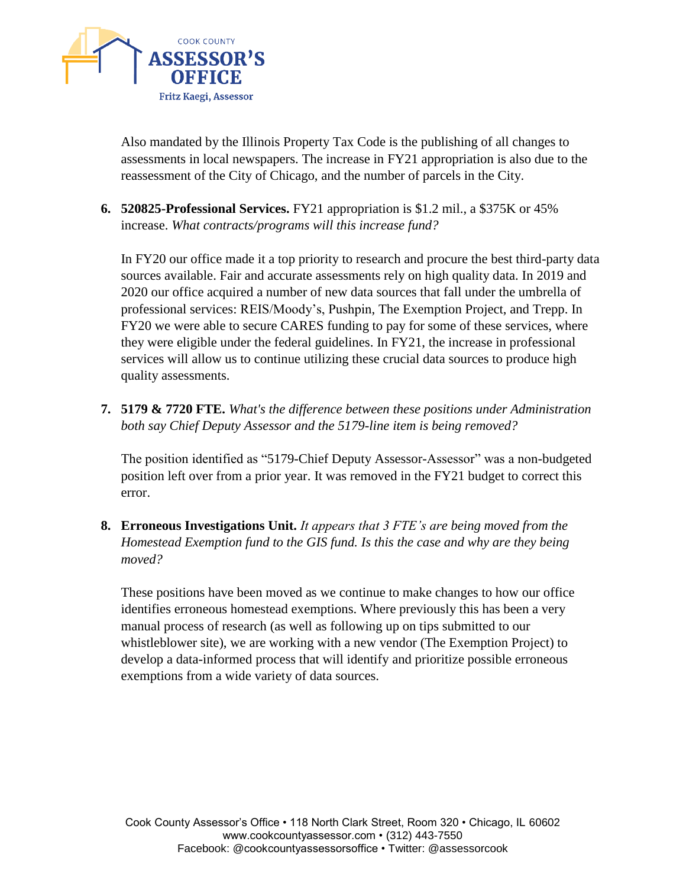

Also mandated by the Illinois Property Tax Code is the publishing of all changes to assessments in local newspapers. The increase in FY21 appropriation is also due to the reassessment of the City of Chicago, and the number of parcels in the City.

**6. 520825-Professional Services.** FY21 appropriation is \$1.2 mil., a \$375K or 45% increase. *What contracts/programs will this increase fund?* 

In FY20 our office made it a top priority to research and procure the best third-party data sources available. Fair and accurate assessments rely on high quality data. In 2019 and 2020 our office acquired a number of new data sources that fall under the umbrella of professional services: REIS/Moody's, Pushpin, The Exemption Project, and Trepp. In FY20 we were able to secure CARES funding to pay for some of these services, where they were eligible under the federal guidelines. In FY21, the increase in professional services will allow us to continue utilizing these crucial data sources to produce high quality assessments.

**7. 5179 & 7720 FTE.** *What's the difference between these positions under Administration both say Chief Deputy Assessor and the 5179-line item is being removed?* 

The position identified as "5179-Chief Deputy Assessor-Assessor" was a non-budgeted position left over from a prior year. It was removed in the FY21 budget to correct this error.

**8. Erroneous Investigations Unit.** *It appears that 3 FTE's are being moved from the Homestead Exemption fund to the GIS fund. Is this the case and why are they being moved?* 

These positions have been moved as we continue to make changes to how our office identifies erroneous homestead exemptions. Where previously this has been a very manual process of research (as well as following up on tips submitted to our whistleblower site), we are working with a new vendor (The Exemption Project) to develop a data-informed process that will identify and prioritize possible erroneous exemptions from a wide variety of data sources.